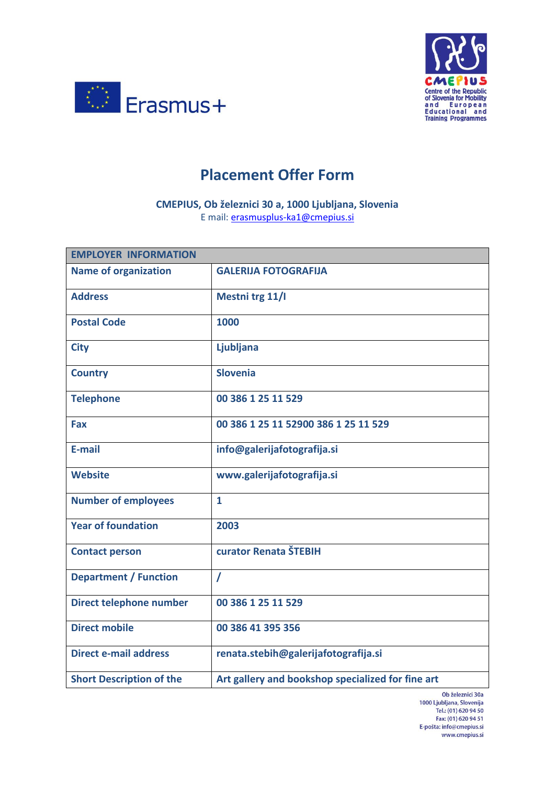



## **Placement Offer Form**

**CMEPIUS, Ob železnici 30 a, 1000 Ljubljana, Slovenia** E mail: [erasmusplus-ka1@cmepius.si](mailto:erasmusplus-ka1@cmepius.si)

| <b>EMPLOYER INFORMATION</b>     |                                                   |
|---------------------------------|---------------------------------------------------|
| <b>Name of organization</b>     | <b>GALERIJA FOTOGRAFIJA</b>                       |
| <b>Address</b>                  | Mestni trg 11/I                                   |
| <b>Postal Code</b>              | 1000                                              |
| <b>City</b>                     | <b>Ljubljana</b>                                  |
| <b>Country</b>                  | <b>Slovenia</b>                                   |
| <b>Telephone</b>                | 00 386 1 25 11 529                                |
| <b>Fax</b>                      | 00 386 1 25 11 52900 386 1 25 11 529              |
| E-mail                          | info@galerijafotografija.si                       |
| <b>Website</b>                  | www.galerijafotografija.si                        |
| <b>Number of employees</b>      | $\mathbf{1}$                                      |
| <b>Year of foundation</b>       | 2003                                              |
| <b>Contact person</b>           | curator Renata ŠTEBIH                             |
| <b>Department / Function</b>    | $\prime$                                          |
| Direct telephone number         | 00 386 1 25 11 529                                |
| <b>Direct mobile</b>            | 00 386 41 395 356                                 |
| <b>Direct e-mail address</b>    | renata.stebih@galerijafotografija.si              |
| <b>Short Description of the</b> | Art gallery and bookshop specialized for fine art |

Ob železnici 30a 1000 Ljubljana, Slovenija<br>Tel.: (01) 620 94 50 Fax: (01) 620 94 50 E-pošta: info@cmepius.si www.cmepius.si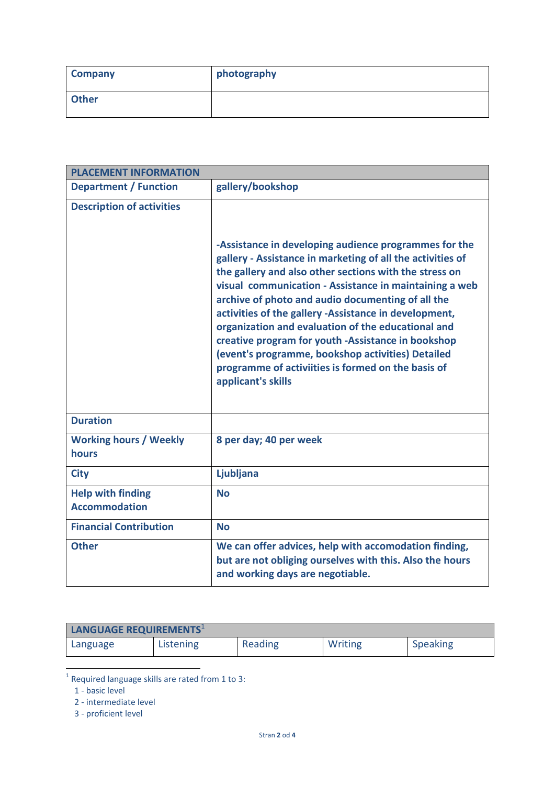| <b>Company</b> | photography |
|----------------|-------------|
| <b>Other</b>   |             |

| <b>PLACEMENT INFORMATION</b>                     |                                                                                                                                                                                                                                                                                                                                                                                                                                                                                                                                                                                                    |
|--------------------------------------------------|----------------------------------------------------------------------------------------------------------------------------------------------------------------------------------------------------------------------------------------------------------------------------------------------------------------------------------------------------------------------------------------------------------------------------------------------------------------------------------------------------------------------------------------------------------------------------------------------------|
| <b>Department / Function</b>                     | gallery/bookshop                                                                                                                                                                                                                                                                                                                                                                                                                                                                                                                                                                                   |
| <b>Description of activities</b>                 | -Assistance in developing audience programmes for the<br>gallery - Assistance in marketing of all the activities of<br>the gallery and also other sections with the stress on<br>visual communication - Assistance in maintaining a web<br>archive of photo and audio documenting of all the<br>activities of the gallery -Assistance in development,<br>organization and evaluation of the educational and<br>creative program for youth -Assistance in bookshop<br>(event's programme, bookshop activities) Detailed<br>programme of activiities is formed on the basis of<br>applicant's skills |
| <b>Duration</b>                                  |                                                                                                                                                                                                                                                                                                                                                                                                                                                                                                                                                                                                    |
| <b>Working hours / Weekly</b><br>hours           | 8 per day; 40 per week                                                                                                                                                                                                                                                                                                                                                                                                                                                                                                                                                                             |
| <b>City</b>                                      | Ljubljana                                                                                                                                                                                                                                                                                                                                                                                                                                                                                                                                                                                          |
| <b>Help with finding</b><br><b>Accommodation</b> | <b>No</b>                                                                                                                                                                                                                                                                                                                                                                                                                                                                                                                                                                                          |
| <b>Financial Contribution</b>                    | <b>No</b>                                                                                                                                                                                                                                                                                                                                                                                                                                                                                                                                                                                          |
| <b>Other</b>                                     | We can offer advices, help with accomodation finding,<br>but are not obliging ourselves with this. Also the hours<br>and working days are negotiable.                                                                                                                                                                                                                                                                                                                                                                                                                                              |

| LANGUAGE REQUIREMENTS <sup>1</sup> |           |         |         |                 |
|------------------------------------|-----------|---------|---------|-----------------|
| Language                           | Listening | Reading | Writing | <b>Speaking</b> |

**The set of the set of the set of the set of the set of the set of the set of the set of the set of the set of the s**<br>In Required language skills are rated from 1 to 3:

1 - basic level

2 - intermediate level

3 - proficient level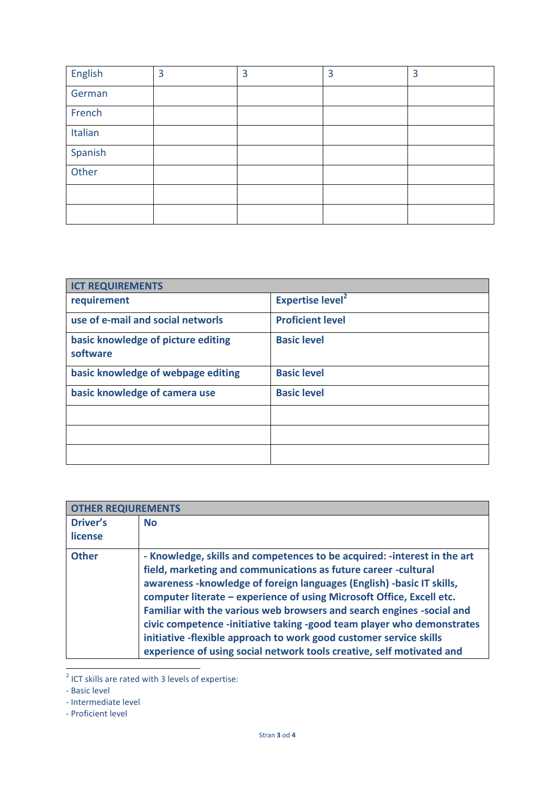| English | 3 | 3 | 3 | 3 |
|---------|---|---|---|---|
| German  |   |   |   |   |
| French  |   |   |   |   |
| Italian |   |   |   |   |
| Spanish |   |   |   |   |
| Other   |   |   |   |   |
|         |   |   |   |   |
|         |   |   |   |   |

| <b>ICT REQUIREMENTS</b>                        |                                    |
|------------------------------------------------|------------------------------------|
| requirement                                    | <b>Expertise level<sup>2</sup></b> |
| use of e-mail and social networls              | <b>Proficient level</b>            |
| basic knowledge of picture editing<br>software | <b>Basic level</b>                 |
| basic knowledge of webpage editing             | <b>Basic level</b>                 |
| basic knowledge of camera use                  | <b>Basic level</b>                 |
|                                                |                                    |
|                                                |                                    |
|                                                |                                    |

| <b>OTHER REQIUREMENTS</b> |                                                                                                                                                                                                                                                                                                                                                                                                                                                                                                                                                                                                   |
|---------------------------|---------------------------------------------------------------------------------------------------------------------------------------------------------------------------------------------------------------------------------------------------------------------------------------------------------------------------------------------------------------------------------------------------------------------------------------------------------------------------------------------------------------------------------------------------------------------------------------------------|
| Driver's                  | <b>No</b>                                                                                                                                                                                                                                                                                                                                                                                                                                                                                                                                                                                         |
| license                   |                                                                                                                                                                                                                                                                                                                                                                                                                                                                                                                                                                                                   |
| <b>Other</b>              | - Knowledge, skills and competences to be acquired: - interest in the art<br>field, marketing and communications as future career -cultural<br>awareness - knowledge of foreign languages (English) - basic IT skills,<br>computer literate - experience of using Microsoft Office, Excell etc.<br>Familiar with the various web browsers and search engines -social and<br>civic competence -initiative taking -good team player who demonstrates<br>initiative -flexible approach to work good customer service skills<br>experience of using social network tools creative, self motivated and |

 $\overline{\phantom{a}}$  ICT skills are rated with 3 levels of expertise:

- Proficient level

<sup>-</sup> Basic level

<sup>-</sup> Intermediate level